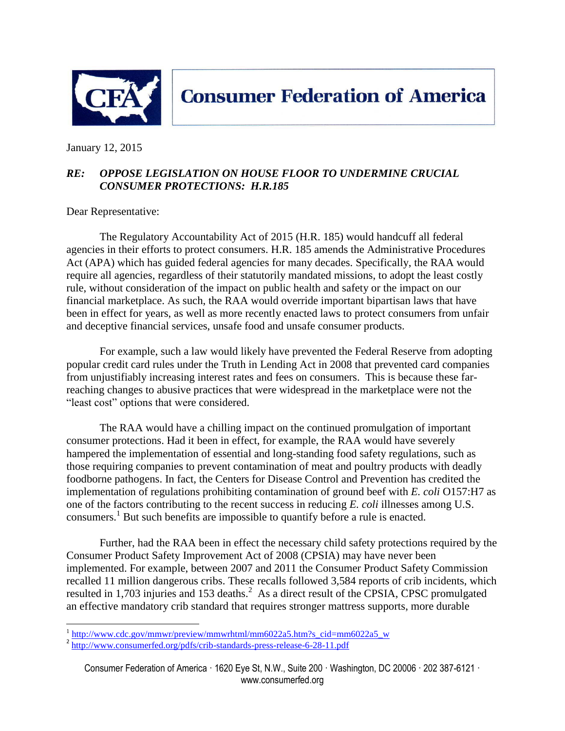

**Consumer Federation of America** 

January 12, 2015

## *RE: OPPOSE LEGISLATION ON HOUSE FLOOR TO UNDERMINE CRUCIAL CONSUMER PROTECTIONS: H.R.185*

Dear Representative:

 $\overline{\phantom{a}}$ 

The Regulatory Accountability Act of 2015 (H.R. 185) would handcuff all federal agencies in their efforts to protect consumers. H.R. 185 amends the Administrative Procedures Act (APA) which has guided federal agencies for many decades. Specifically, the RAA would require all agencies, regardless of their statutorily mandated missions, to adopt the least costly rule, without consideration of the impact on public health and safety or the impact on our financial marketplace. As such, the RAA would override important bipartisan laws that have been in effect for years, as well as more recently enacted laws to protect consumers from unfair and deceptive financial services, unsafe food and unsafe consumer products.

For example, such a law would likely have prevented the Federal Reserve from adopting popular credit card rules under the Truth in Lending Act in 2008 that prevented card companies from unjustifiably increasing interest rates and fees on consumers. This is because these farreaching changes to abusive practices that were widespread in the marketplace were not the "least cost" options that were considered.

The RAA would have a chilling impact on the continued promulgation of important consumer protections. Had it been in effect, for example, the RAA would have severely hampered the implementation of essential and long-standing food safety regulations, such as those requiring companies to prevent contamination of meat and poultry products with deadly foodborne pathogens. In fact, the Centers for Disease Control and Prevention has credited the implementation of regulations prohibiting contamination of ground beef with *E. coli* O157:H7 as one of the factors contributing to the recent success in reducing *E. coli* illnesses among U.S. consumers.<sup>1</sup> But such benefits are impossible to quantify before a rule is enacted.

Further, had the RAA been in effect the necessary child safety protections required by the Consumer Product Safety Improvement Act of 2008 (CPSIA) may have never been implemented. For example, between 2007 and 2011 the Consumer Product Safety Commission recalled 11 million dangerous cribs. These recalls followed 3,584 reports of crib incidents, which resulted in 1,703 injuries and 153 deaths. $^2$  As a direct result of the CPSIA, CPSC promulgated an effective mandatory crib standard that requires stronger mattress supports, more durable

<sup>&</sup>lt;sup>1</sup> [http://www.cdc.gov/mmwr/preview/mmwrhtml/mm6022a5.htm?s\\_cid=mm6022a5\\_w](http://www.cdc.gov/mmwr/preview/mmwrhtml/mm6022a5.htm?s_cid=mm6022a5_w)

<sup>&</sup>lt;sup>2</sup> <http://www.consumerfed.org/pdfs/crib-standards-press-release-6-28-11.pdf>